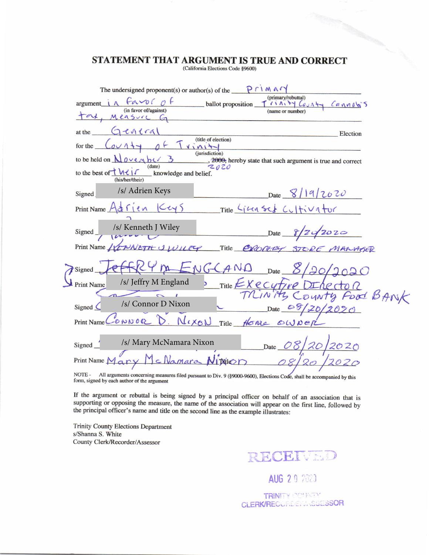## STATEMENT THAT ARGUMENT IS TRUE AND CORRECT

(California Elections Code §9600)

| The undersigned proponent(s) or author(s) of the $P \cap M \wedge C$                                                                                                            |  |
|---------------------------------------------------------------------------------------------------------------------------------------------------------------------------------|--|
| (primary/rebuttal)<br>Favoc<br>ballot proposition<br>argument<br>rinity County Cannabis<br>(in favor of/against)                                                                |  |
| (name or number)<br>Measure G                                                                                                                                                   |  |
| $G$ eneral<br>at the<br>Election                                                                                                                                                |  |
| (title of election)<br>for the                                                                                                                                                  |  |
| (jurisdiction)<br>to be held on $\bigwedge \overline{O} \vee \overline{e} \wedge \overline{b} \vee \overline{3}$<br>, 2000; hereby state that such argument is true and correct |  |
| date)<br>2020<br>to the best of $\overline{U}$ $M \left( \overline{V} \right)$<br>knowledge and belief.<br>(his/her/their)                                                      |  |
| /s/ Adrien Keys<br>Date 8/19/2020<br>Signed                                                                                                                                     |  |
| Print Name $Adf$ (en $Cey5$<br>Title Ling Scs Cultivator                                                                                                                        |  |
| /s/ Kenneth J Wiley<br>Date 8/24/2020<br>Signed_                                                                                                                                |  |
| Print Name / CONNETH JULIEY Title EXCOURCY STORE MANAGER                                                                                                                        |  |
| $24m$ $\neq$ NGCAND<br>Date $\mathcal{S}$<br>Signed.                                                                                                                            |  |
| /s/ Jeffry M England<br>$Title$ $Kec$ $tr$ $e$<br>Print Name                                                                                                                    |  |
| MINITY County Food BANK                                                                                                                                                         |  |
| /s/ Connor D Nixon<br>Signed (<br>Date $89/20/2020$                                                                                                                             |  |
| CONNOR D. NIXON<br>Title flowe OWNER<br>Print Name                                                                                                                              |  |
| /s/ Mary McNamara Nixon<br>Date $OS$<br>Signed                                                                                                                                  |  |
| Manara Nimon<br>Print Name M<br>08                                                                                                                                              |  |
| NOTE - All arguments concerning measures filed pursuant to Div. $9/80000.06000$ . Elections Code, shall be                                                                      |  |

000-9600), Elections Code, shall be accompanied by this  $(8)$ form, signed by each author of the argument

If the argument or rebuttal is being signed by a principal officer on behalf of an association that is supporting or opposing the measure, the name of the association will appear on the first line, followed by the principal officer's name and title on the second line as the example illustrates:

**Trinity County Elections Department** s/Shanna S. White County Clerk/Recorder/Assessor

RECEIVED

AUG 2 9 2023

TRINITY COUNTY CLERK/RECORDENT/SSESSOR